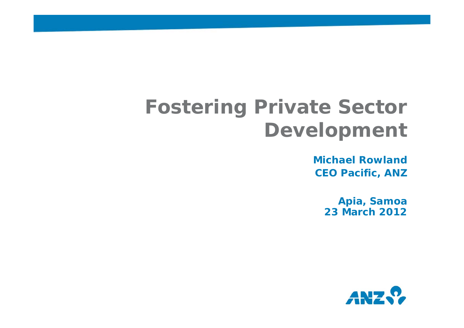# **Fostering Private Sector Development**

**Michael RowlandCEO Pacific, ANZ**

> **Apia, Samoa 23 March 2012**

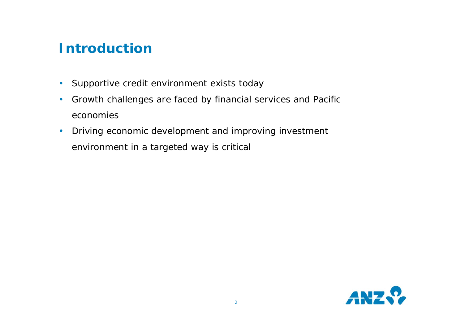### **Introduction**

- $\bullet$ Supportive credit environment exists today
- • Growth challenges are faced by financial services and Pacific economies
- • Driving economic development and improving investment environment in a targeted way is critical

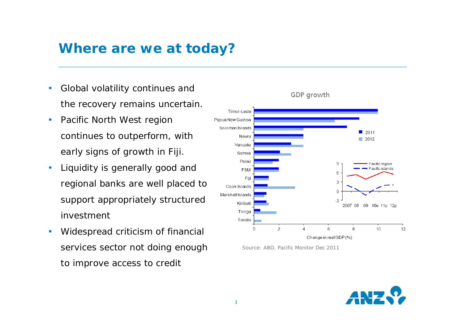### **Where are we at today?**

- • Global volatility continues and the recovery remains uncertain.
- • Pacific North West region continues to outperform, with early signs of growth in Fiji.
- • Liquidity is generally good and regional banks are well placed to support appropriately structured investment
- • Widespread criticism of financial services sector not doing enough to improve access to credit



Source: ABD, Pacific Monitor Dec 2011

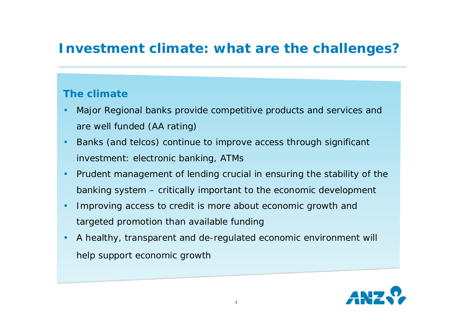### **Investment climate: what are the challenges?**

#### **The climate**

- • Major Regional banks provide competitive products and services and are well funded (AA rating)
- • Banks (and telcos) continue to improve access through significant investment: electronic banking, ATMs
- • Prudent management of lending crucial in ensuring the stability of the banking system – critically important to the economic development
- • Improving access to credit is more about economic growth and targeted promotion than available funding
- • A healthy, transparent and de-regulated economic environment will help support economic growth

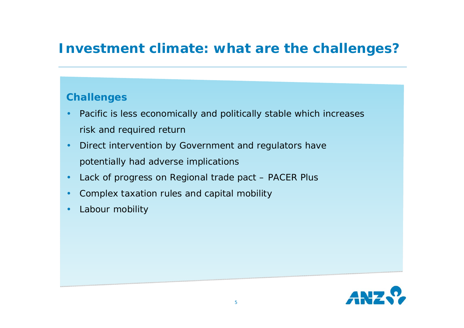### **Investment climate: what are the challenges?**

#### **Challenges**

- • Pacific is less economically and politically stable which increases risk and required return
- • Direct intervention by Government and regulators have potentially had adverse implications
- •Lack of progress on Regional trade pact – PACER Plus
- •Complex taxation rules and capital mobility
- •Labour mobility

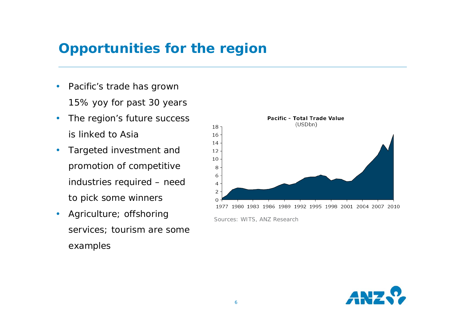### **Opportunities for the region**

- • Pacific's trade has grown 15% yoy for past 30 years
- • The region's future success is linked to Asia
- • Targeted investment and promotion of competitive industries required – need to pick some winners
- • Agriculture; offshoring services; tourism are some examples



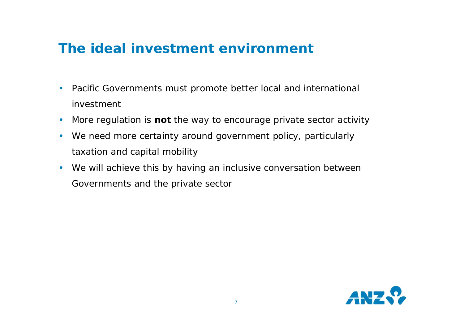### **The ideal investment environment**

- • Pacific Governments must promote better local and international investment
- •More regulation is **not** the way to encourage private sector activity
- $\bullet$  We need more certainty around government policy, particularly taxation and capital mobility
- • We will achieve this by having an inclusive conversation between Governments and the private sector